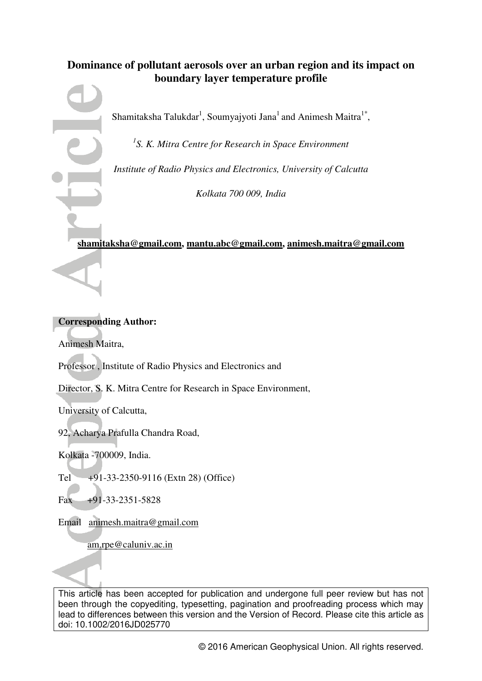# **Dominance of pollutant aerosols over an urban region and its impact on boundary layer temperature profile**

Shamitaksha Talukdar<sup>1</sup>, Soumyajyoti Jana<sup>1</sup> and Animesh Maitra<sup>1\*</sup>,

*1 S. K. Mitra Centre for Research in Space Environment* 

*Institute of Radio Physics and Electronics, University of Calcutta* 

*Kolkata 700 009, India* 

# **[shamitaksha@gmail.com,](mailto:shamitaksha@gmail.com) [mantu.abc@gmail.com,](mailto:mantu.abc@gmail.com) animesh.maitr[a@gmail.com](mailto:@gmail.com)**

## **Corresponding Author:**

Animesh Maitra,

Professor , Institute of Radio Physics and Electronics and

Director, S. K. Mitra Centre for Research in Space Environment,

University of Calcutta,

92, Acharya Prafulla Chandra Road,

Kolkata -700009, India.

Tel  $+91-33-2350-9116$  (Extn 28) (Office)

Fax +91-33-2351-5828

Email [animesh.maitra@gmail.com](mailto:animesh.maitra@gmail.com) 

[am.rpe@caluniv.ac.in](mailto:am.rpe@caluniv.ac.in) 

This article has been accepted for publication and undergone full peer review but has not been through the copyediting, typesetting, pagination and proofreading process which may lead to differences between this version and the Version of Record. Please cite this article as doi: 10.1002/2016JD025770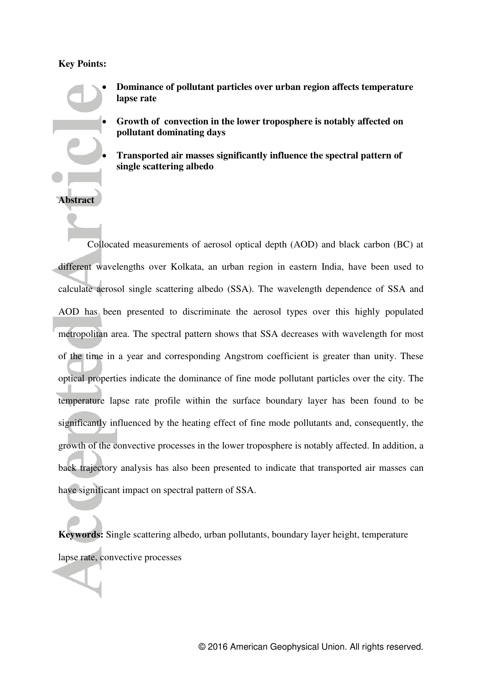## **Key Points:**

**Abstract** 

- **Dominance of pollutant particles over urban region affects temperature lapse rate** 
	- **Growth of convection in the lower troposphere is notably affected on pollutant dominating days**
	- **Transported air masses significantly influence the spectral pattern of single scattering albedo**

Collocated measurements of aerosol optical depth (AOD) and black carbon (BC) at different wavelengths over Kolkata, an urban region in eastern India, have been used to calculate aerosol single scattering albedo (SSA). The wavelength dependence of SSA and AOD has been presented to discriminate the aerosol types over this highly populated metropolitan area. The spectral pattern shows that SSA decreases with wavelength for most of the time in a year and corresponding Angstrom coefficient is greater than unity. These optical properties indicate the dominance of fine mode pollutant particles over the city. The temperature lapse rate profile within the surface boundary layer has been found to be significantly influenced by the heating effect of fine mode pollutants and, consequently, the growth of the convective processes in the lower troposphere is notably affected. In addition, a back trajectory analysis has also been presented to indicate that transported air masses can have significant impact on spectral pattern of SSA.

**Keywords:** Single scattering albedo, urban pollutants, boundary layer height, temperature lapse rate, convective processes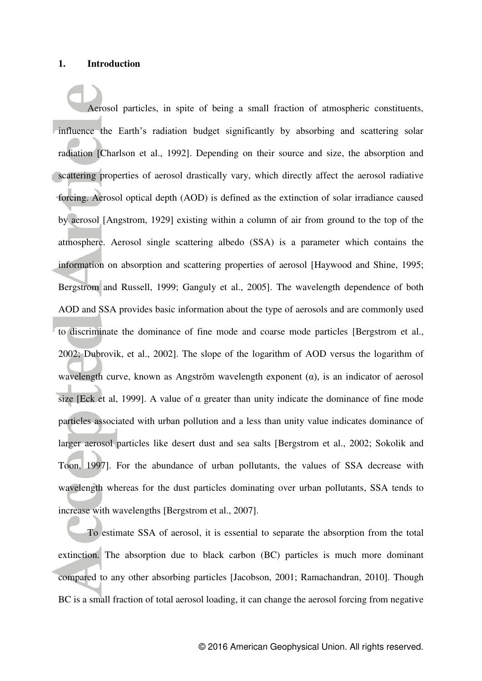#### **1. Introduction**

 Aerosol particles, in spite of being a small fraction of atmospheric constituents, influence the Earth's radiation budget significantly by absorbing and scattering solar radiation [Charlson et al., 1992]. Depending on their source and size, the absorption and scattering properties of aerosol drastically vary, which directly affect the aerosol radiative forcing. Aerosol optical depth (AOD) is defined as the extinction of solar irradiance caused by aerosol [Angstrom, 1929] existing within a column of air from ground to the top of the atmosphere. Aerosol single scattering albedo (SSA) is a parameter which contains the information on absorption and scattering properties of aerosol [Haywood and Shine, 1995; Bergstrom and Russell, 1999; Ganguly et al., 2005]. The wavelength dependence of both AOD and SSA provides basic information about the type of aerosols and are commonly used to discriminate the dominance of fine mode and coarse mode particles [Bergstrom et al., 2002; Dubrovik, et al., 2002]. The slope of the logarithm of AOD versus the logarithm of wavelength curve, known as Angström wavelength exponent  $(\alpha)$ , is an indicator of aerosol size [Eck et al, 1999]. A value of  $\alpha$  greater than unity indicate the dominance of fine mode particles associated with urban pollution and a less than unity value indicates dominance of larger aerosol particles like desert dust and sea salts [Bergstrom et al., 2002; Sokolik and Toon, 1997]. For the abundance of urban pollutants, the values of SSA decrease with wavelength whereas for the dust particles dominating over urban pollutants, SSA tends to increase with wavelengths [Bergstrom et al., 2007].

 To estimate SSA of aerosol, it is essential to separate the absorption from the total extinction. The absorption due to black carbon (BC) particles is much more dominant compared to any other absorbing particles [Jacobson, 2001; Ramachandran, 2010]. Though BC is a small fraction of total aerosol loading, it can change the aerosol forcing from negative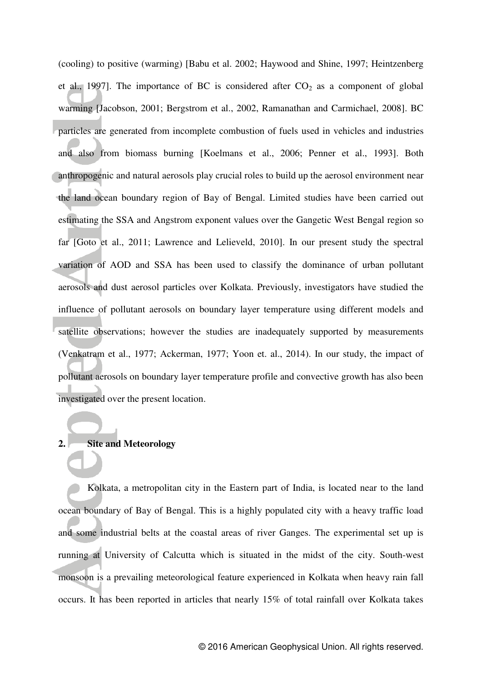(cooling) to positive (warming) [Babu et al. 2002; Haywood and Shine, 1997; Heintzenberg et al., 1997]. The importance of BC is considered after  $CO<sub>2</sub>$  as a component of global warming [Jacobson, 2001; Bergstrom et al., 2002, Ramanathan and Carmichael, 2008]. BC particles are generated from incomplete combustion of fuels used in vehicles and industries and also from biomass burning [Koelmans et al., 2006; Penner et al., 1993]. Both anthropogenic and natural aerosols play crucial roles to build up the aerosol environment near the land ocean boundary region of Bay of Bengal. Limited studies have been carried out estimating the SSA and Angstrom exponent values over the Gangetic West Bengal region so far [Goto et al., 2011; Lawrence and Lelieveld, 2010]. In our present study the spectral variation of AOD and SSA has been used to classify the dominance of urban pollutant aerosols and dust aerosol particles over Kolkata. Previously, investigators have studied the influence of pollutant aerosols on boundary layer temperature using different models and satellite observations; however the studies are inadequately supported by measurements (Venkatram et al., 1977; Ackerman, 1977; Yoon et. al., 2014). In our study, the impact of pollutant aerosols on boundary layer temperature profile and convective growth has also been investigated over the present location.

## **2. Site and Meteorology**

 Kolkata, a metropolitan city in the Eastern part of India, is located near to the land ocean boundary of Bay of Bengal. This is a highly populated city with a heavy traffic load and some industrial belts at the coastal areas of river Ganges. The experimental set up is running at University of Calcutta which is situated in the midst of the city. South-west monsoon is a prevailing meteorological feature experienced in Kolkata when heavy rain fall occurs. It has been reported in articles that nearly 15% of total rainfall over Kolkata takes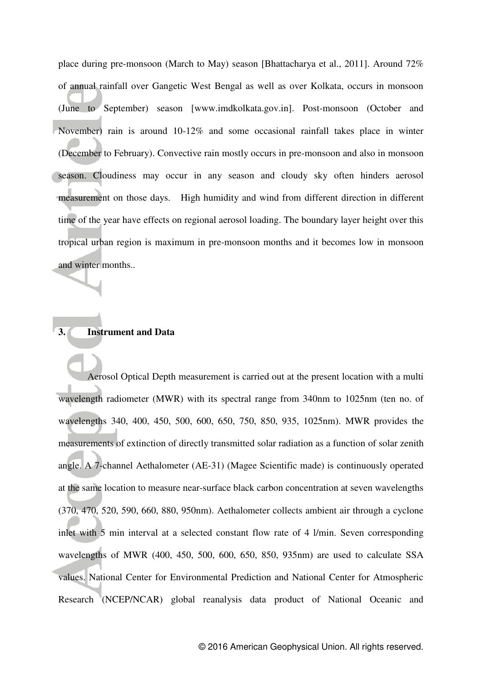place during pre-monsoon (March to May) season [Bhattacharya et al., 2011]. Around 72% of annual rainfall over Gangetic West Bengal as well as over Kolkata, occurs in monsoon (June to September) season [www.imdkolkata.gov.in]. Post-monsoon (October and November) rain is around 10-12% and some occasional rainfall takes place in winter (December to February). Convective rain mostly occurs in pre-monsoon and also in monsoon season. Cloudiness may occur in any season and cloudy sky often hinders aerosol measurement on those days. High humidity and wind from different direction in different time of the year have effects on regional aerosol loading. The boundary layer height over this tropical urban region is maximum in pre-monsoon months and it becomes low in monsoon and winter months..

## **3. Instrument and Data**

 Aerosol Optical Depth measurement is carried out at the present location with a multi wavelength radiometer (MWR) with its spectral range from 340nm to 1025nm (ten no. of wavelengths 340, 400, 450, 500, 600, 650, 750, 850, 935, 1025nm). MWR provides the measurements of extinction of directly transmitted solar radiation as a function of solar zenith angle. A 7-channel Aethalometer (AE-31) (Magee Scientific made) is continuously operated at the same location to measure near-surface black carbon concentration at seven wavelengths (370, 470, 520, 590, 660, 880, 950nm). Aethalometer collects ambient air through a cyclone inlet with 5 min interval at a selected constant flow rate of 4 l/min. Seven corresponding wavelengths of MWR (400, 450, 500, 600, 650, 850, 935nm) are used to calculate SSA values. National Center for Environmental Prediction and National Center for Atmospheric Research (NCEP/NCAR) global reanalysis data product of National Oceanic and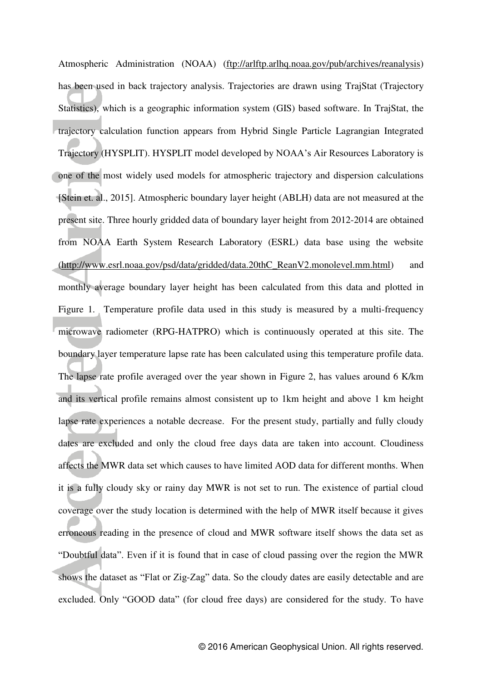Atmospheric Administration (NOAA) [\(ftp://arlftp.arlhq.noaa.gov/pub/archives/reanalysis\)](ftp://arlftp.arlhq.noaa.gov/pub/archives/reanalysis) has been used in back trajectory analysis. Trajectories are drawn using TrajStat (Trajectory Statistics), which is a geographic information system (GIS) based software. In TrajStat, the trajectory calculation function appears from Hybrid Single Particle Lagrangian Integrated Trajectory (HYSPLIT). HYSPLIT model developed by NOAA"s Air Resources Laboratory is one of the most widely used models for atmospheric trajectory and dispersion calculations [Stein et. al., 2015]. Atmospheric boundary layer height (ABLH) data are not measured at the present site. Three hourly gridded data of boundary layer height from 2012-2014 are obtained from NOAA Earth System Research Laboratory (ESRL) data base using the website [\(http://www.esrl.noaa.gov/psd/data/gridded/data.20thC\\_ReanV2.monolevel.mm.html\)](http://www.esrl.noaa.gov/psd/data/gridded/data.20thC_ReanV2.monolevel.mm.html) and monthly average boundary layer height has been calculated from this data and plotted in Figure 1. Temperature profile data used in this study is measured by a multi-frequency microwave radiometer (RPG-HATPRO) which is continuously operated at this site. The boundary layer temperature lapse rate has been calculated using this temperature profile data. The lapse rate profile averaged over the year shown in Figure 2, has values around 6 K/km and its vertical profile remains almost consistent up to 1km height and above 1 km height lapse rate experiences a notable decrease. For the present study, partially and fully cloudy dates are excluded and only the cloud free days data are taken into account. Cloudiness affects the MWR data set which causes to have limited AOD data for different months. When it is a fully cloudy sky or rainy day MWR is not set to run. The existence of partial cloud coverage over the study location is determined with the help of MWR itself because it gives erroneous reading in the presence of cloud and MWR software itself shows the data set as "Doubtful data". Even if it is found that in case of cloud passing over the region the MWR shows the dataset as "Flat or Zig-Zag" data. So the cloudy dates are easily detectable and are excluded. Only "GOOD data" (for cloud free days) are considered for the study. To have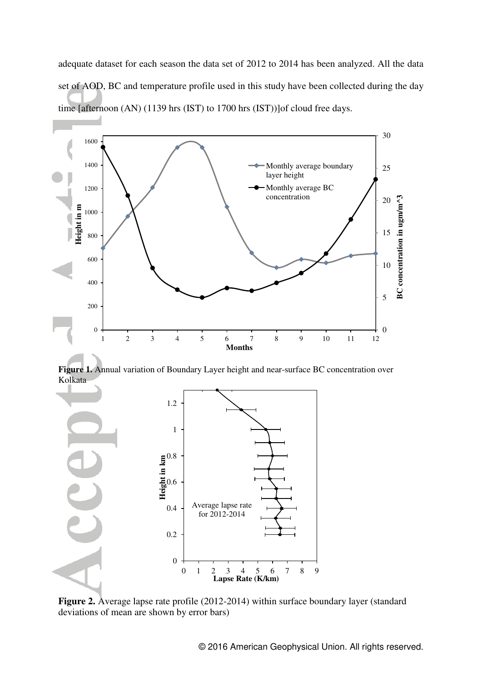adequate dataset for each season the data set of 2012 to 2014 has been analyzed. All the data set of AOD, BC and temperature profile used in this study have been collected during the day time [afternoon (AN) (1139 hrs (IST) to 1700 hrs (IST))]of cloud free days.



**Figure 1.** Annual variation of Boundary Layer height and near-surface BC concentration over Kolkata



**Figure 2.** Average lapse rate profile (2012-2014) within surface boundary layer (standard deviations of mean are shown by error bars)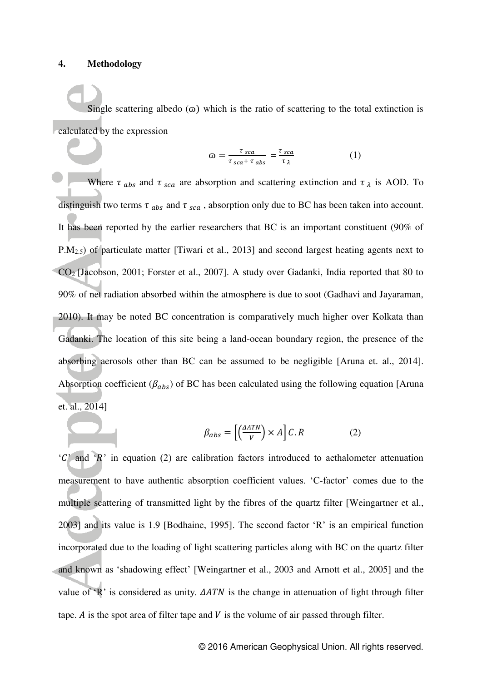#### **4. Methodology**

Single scattering albedo  $(\omega)$  which is the ratio of scattering to the total extinction is calculated by the expression

$$
\omega = \frac{\tau_{sca}}{\tau_{sca} + \tau_{abs}} = \frac{\tau_{sca}}{\tau_{\lambda}} \tag{1}
$$

Where  $\tau$ <sub>abs</sub> and  $\tau$ <sub>sca</sub> are absorption and scattering extinction and  $\tau$ <sub> $\lambda$ </sub> is AOD. To distinguish two terms  $\tau_{abs}$  and  $\tau_{sea}$ , absorption only due to BC has been taken into account. It has been reported by the earlier researchers that BC is an important constituent (90% of P.M2.5) of particulate matter [Tiwari et al., 2013] and second largest heating agents next to CO2 [Jacobson, 2001; Forster et al., 2007]. A study over Gadanki, India reported that 80 to 90% of net radiation absorbed within the atmosphere is due to soot (Gadhavi and Jayaraman, 2010). It may be noted BC concentration is comparatively much higher over Kolkata than Gadanki. The location of this site being a land-ocean boundary region, the presence of the absorbing aerosols other than BC can be assumed to be negligible [Aruna et. al., 2014]. Absorption coefficient ( $\beta_{abs}$ ) of BC has been calculated using the following equation [Aruna] et. al., 2014]

$$
\beta_{abs} = \left[ \left( \frac{\Delta ATN}{V} \right) \times A \right] C.R \tag{2}
$$

 ${}^{\circ}C$  and  ${}^{\circ}R$  in equation (2) are calibration factors introduced to aethalometer attenuation measurement to have authentic absorption coefficient values. "C-factor" comes due to the multiple scattering of transmitted light by the fibres of the quartz filter [Weingartner et al., 2003] and its value is 1.9 [Bodhaine, 1995]. The second factor "R" is an empirical function incorporated due to the loading of light scattering particles along with BC on the quartz filter and known as "shadowing effect" [Weingartner et al., 2003 and Arnott et al., 2005] and the value of  $R$  is considered as unity.  $\triangle ATN$  is the change in attenuation of light through filter tape.  $\vec{A}$  is the spot area of filter tape and  $V$  is the volume of air passed through filter.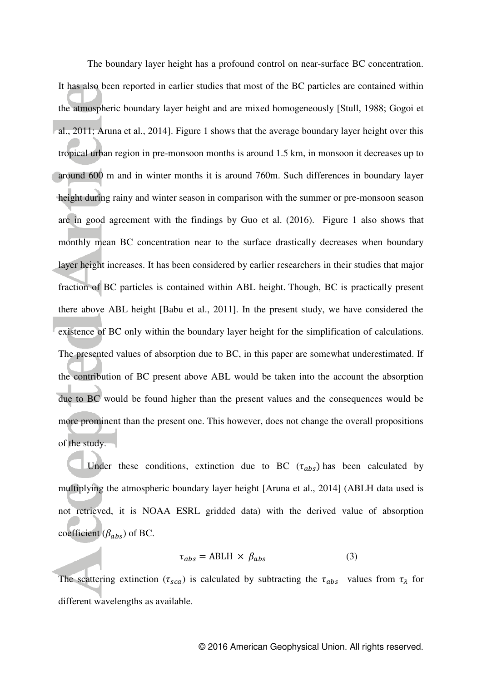The boundary layer height has a profound control on near-surface BC concentration. It has also been reported in earlier studies that most of the BC particles are contained within the atmospheric boundary layer height and are mixed homogeneously [Stull, 1988; Gogoi et al., 2011; Aruna et al., 2014]. Figure 1 shows that the average boundary layer height over this tropical urban region in pre-monsoon months is around 1.5 km, in monsoon it decreases up to around 600 m and in winter months it is around 760m. Such differences in boundary layer height during rainy and winter season in comparison with the summer or pre-monsoon season are in good agreement with the findings by Guo et al. (2016). Figure 1 also shows that monthly mean BC concentration near to the surface drastically decreases when boundary layer height increases. It has been considered by earlier researchers in their studies that major fraction of BC particles is contained within ABL height. Though, BC is practically present there above ABL height [Babu et al., 2011]. In the present study, we have considered the existence of BC only within the boundary layer height for the simplification of calculations. The presented values of absorption due to BC, in this paper are somewhat underestimated. If the contribution of BC present above ABL would be taken into the account the absorption due to BC would be found higher than the present values and the consequences would be more prominent than the present one. This however, does not change the overall propositions of the study.

Under these conditions, extinction due to BC  $(\tau_{abs})$  has been calculated by multiplying the atmospheric boundary layer height [Aruna et al., 2014] (ABLH data used is not retrieved, it is NOAA ESRL gridded data) with the derived value of absorption coefficient  $(\beta_{abs})$  of BC.

$$
\tau_{abs} = ABLH \times \beta_{abs} \tag{3}
$$

The scattering extinction ( $\tau_{sca}$ ) is calculated by subtracting the  $\tau_{abs}$  values from  $\tau_{\lambda}$  for different wavelengths as available.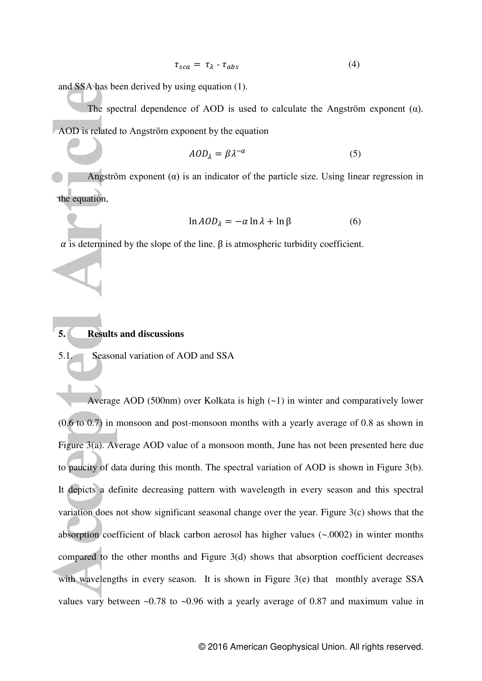$$
\tau_{sca} = \tau_{\lambda} - \tau_{abs} \tag{4}
$$

and SSA has been derived by using equation (1).

The spectral dependence of AOD is used to calculate the Angström exponent  $(\alpha)$ . AOD is related to Angstrӧm exponent by the equation

$$
AOD_{\lambda} = \beta \lambda^{-\alpha} \tag{5}
$$

Angström exponent  $(a)$  is an indicator of the particle size. Using linear regression in the equation,

$$
\ln AOD_{\lambda} = -\alpha \ln \lambda + \ln \beta \tag{6}
$$

 $\alpha$  is determined by the slope of the line.  $\beta$  is atmospheric turbidity coefficient.

### **5. Results and discussions**

5.1. Seasonal variation of AOD and SSA

 Average AOD (500nm) over Kolkata is high (~1) in winter and comparatively lower (0.6 to 0.7) in monsoon and post-monsoon months with a yearly average of 0.8 as shown in Figure 3(a). Average AOD value of a monsoon month, June has not been presented here due to paucity of data during this month. The spectral variation of AOD is shown in Figure 3(b). It depicts a definite decreasing pattern with wavelength in every season and this spectral variation does not show significant seasonal change over the year. Figure 3(c) shows that the absorption coefficient of black carbon aerosol has higher values (~.0002) in winter months compared to the other months and Figure 3(d) shows that absorption coefficient decreases with wavelengths in every season. It is shown in Figure 3(e) that monthly average SSA values vary between ~0.78 to ~0.96 with a yearly average of 0.87 and maximum value in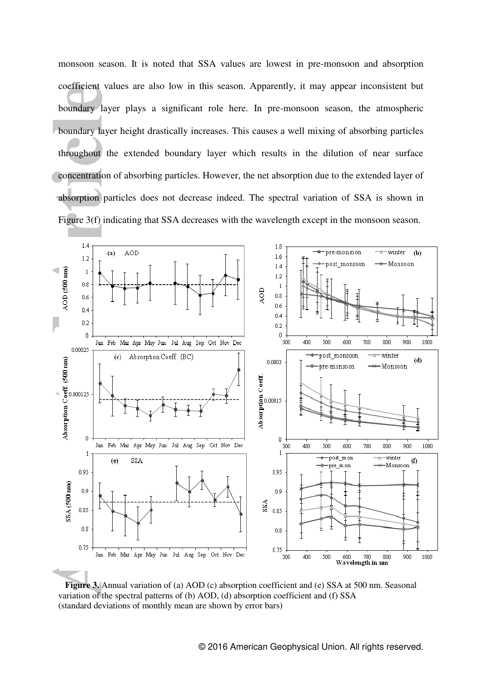monsoon season. It is noted that SSA values are lowest in pre-monsoon and absorption coefficient values are also low in this season. Apparently, it may appear inconsistent but boundary layer plays a significant role here. In pre-monsoon season, the atmospheric boundary layer height drastically increases. This causes a well mixing of absorbing particles throughout the extended boundary layer which results in the dilution of near surface concentration of absorbing particles. However, the net absorption due to the extended layer of absorption particles does not decrease indeed. The spectral variation of SSA is shown in Figure 3(f) indicating that SSA decreases with the wavelength except in the monsoon season.



**Figure 3.** Annual variation of (a) AOD (c) absorption coefficient and (e) SSA at 500 nm. Seasonal variation of the spectral patterns of (b) AOD, (d) absorption coefficient and (f) SSA (standard deviations of monthly mean are shown by error bars)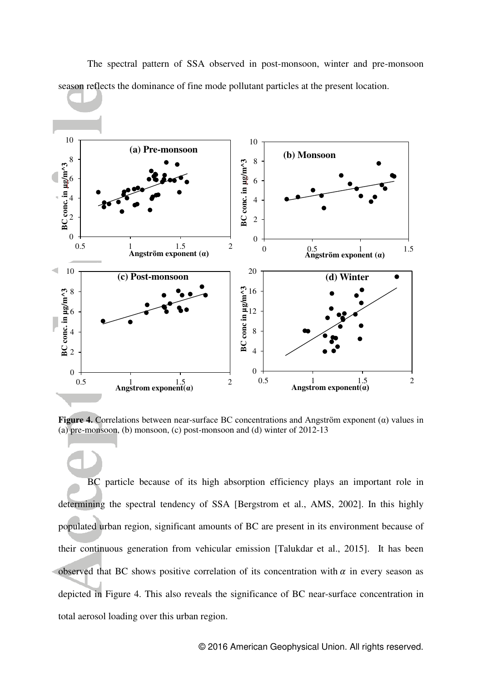

 The spectral pattern of SSA observed in post-monsoon, winter and pre-monsoon season reflects the dominance of fine mode pollutant particles at the present location.

**Figure 4.** Correlations between near-surface BC concentrations and Angström exponent  $(\alpha)$  values in (a) pre-monsoon, (b) monsoon, (c) post-monsoon and (d) winter of 2012-13

 BC particle because of its high absorption efficiency plays an important role in determining the spectral tendency of SSA [Bergstrom et al., AMS, 2002]. In this highly populated urban region, significant amounts of BC are present in its environment because of their continuous generation from vehicular emission [Talukdar et al., 2015]. It has been observed that BC shows positive correlation of its concentration with  $\alpha$  in every season as depicted in Figure 4. This also reveals the significance of BC near-surface concentration in total aerosol loading over this urban region.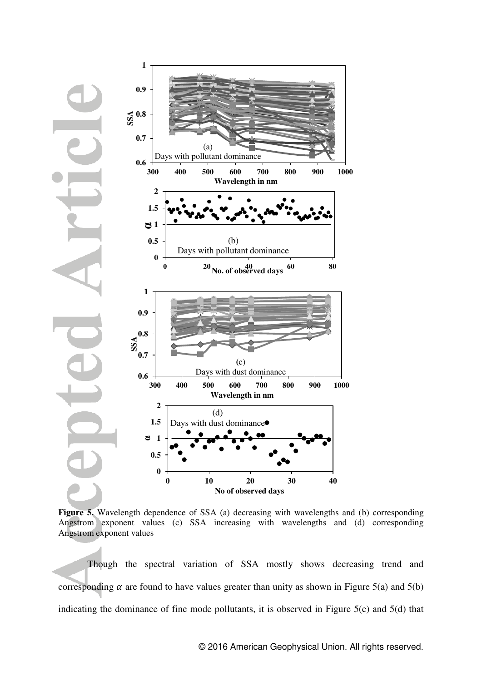

**Figure 5.** Wavelength dependence of SSA (a) decreasing with wavelengths and (b) corresponding Angstrom exponent values (c) SSA increasing with wavelengths and (d) corresponding Angstrom exponent values

 Though the spectral variation of SSA mostly shows decreasing trend and corresponding  $\alpha$  are found to have values greater than unity as shown in Figure 5(a) and 5(b) indicating the dominance of fine mode pollutants, it is observed in Figure 5(c) and 5(d) that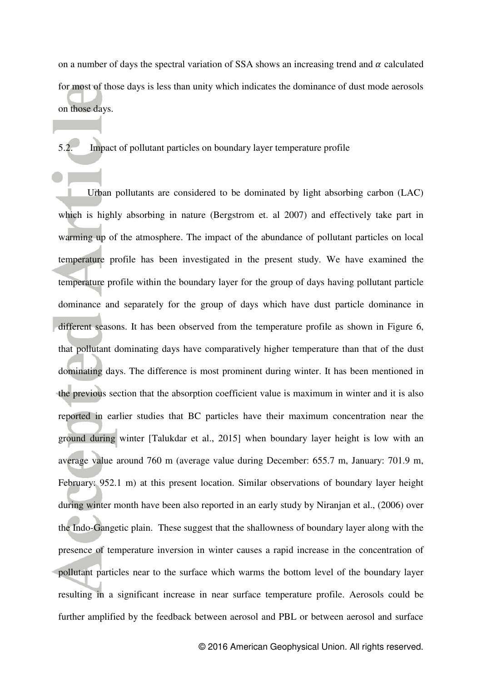on a number of days the spectral variation of SSA shows an increasing trend and  $\alpha$  calculated for most of those days is less than unity which indicates the dominance of dust mode aerosols on those days.

5.2. Impact of pollutant particles on boundary layer temperature profile

 Urban pollutants are considered to be dominated by light absorbing carbon (LAC) which is highly absorbing in nature (Bergstrom et. al 2007) and effectively take part in warming up of the atmosphere. The impact of the abundance of pollutant particles on local temperature profile has been investigated in the present study. We have examined the temperature profile within the boundary layer for the group of days having pollutant particle dominance and separately for the group of days which have dust particle dominance in different seasons. It has been observed from the temperature profile as shown in Figure 6, that pollutant dominating days have comparatively higher temperature than that of the dust dominating days. The difference is most prominent during winter. It has been mentioned in the previous section that the absorption coefficient value is maximum in winter and it is also reported in earlier studies that BC particles have their maximum concentration near the ground during winter [Talukdar et al., 2015] when boundary layer height is low with an average value around 760 m (average value during December: 655.7 m, January: 701.9 m, February: 952.1 m) at this present location. Similar observations of boundary layer height during winter month have been also reported in an early study by Niranjan et al., (2006) over the Indo-Gangetic plain. These suggest that the shallowness of boundary layer along with the presence of temperature inversion in winter causes a rapid increase in the concentration of pollutant particles near to the surface which warms the bottom level of the boundary layer resulting in a significant increase in near surface temperature profile. Aerosols could be further amplified by the feedback between aerosol and PBL or between aerosol and surface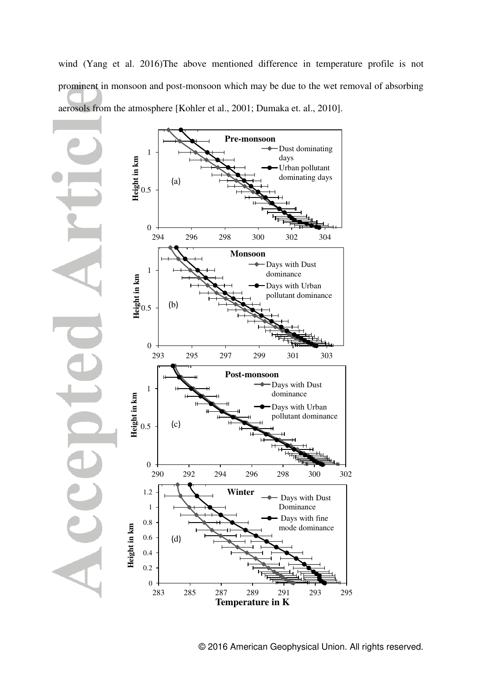wind (Yang et al. 2016)The above mentioned difference in temperature profile is not prominent in monsoon and post-monsoon which may be due to the wet removal of absorbing aerosols from the atmosphere [Kohler et al., 2001; Dumaka et. al., 2010].

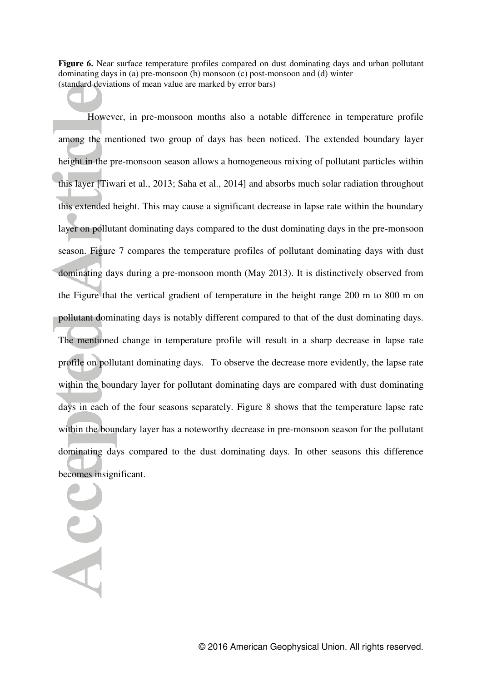**Figure 6.** Near surface temperature profiles compared on dust dominating days and urban pollutant dominating days in (a) pre-monsoon  $(b)$  monsoon  $(c)$  post-monsoon and  $(d)$  winter (standard deviations of mean value are marked by error bars)

 However, in pre-monsoon months also a notable difference in temperature profile among the mentioned two group of days has been noticed. The extended boundary layer height in the pre-monsoon season allows a homogeneous mixing of pollutant particles within this layer [Tiwari et al., 2013; Saha et al., 2014] and absorbs much solar radiation throughout this extended height. This may cause a significant decrease in lapse rate within the boundary layer on pollutant dominating days compared to the dust dominating days in the pre-monsoon season. Figure 7 compares the temperature profiles of pollutant dominating days with dust dominating days during a pre-monsoon month (May 2013). It is distinctively observed from the Figure that the vertical gradient of temperature in the height range 200 m to 800 m on pollutant dominating days is notably different compared to that of the dust dominating days. The mentioned change in temperature profile will result in a sharp decrease in lapse rate profile on pollutant dominating days. To observe the decrease more evidently, the lapse rate within the boundary layer for pollutant dominating days are compared with dust dominating days in each of the four seasons separately. Figure 8 shows that the temperature lapse rate within the boundary layer has a noteworthy decrease in pre-monsoon season for the pollutant dominating days compared to the dust dominating days. In other seasons this difference becomes insignificant.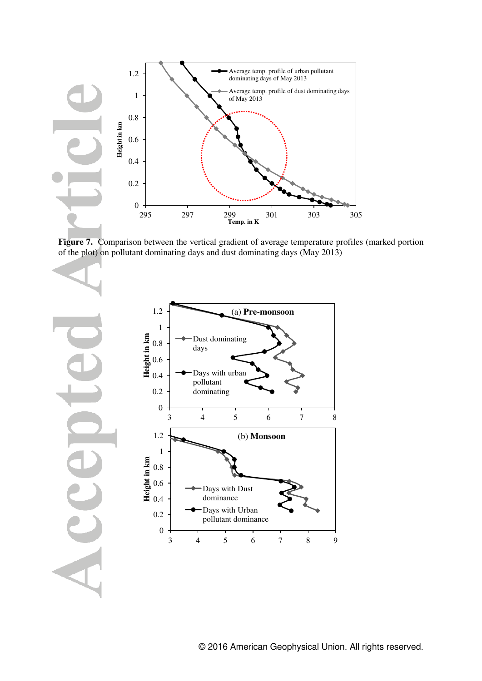

**Figure 7.** Comparison between the vertical gradient of average temperature profiles (marked portion of the plot) on pollutant dominating days and dust dominating days (May 2013)

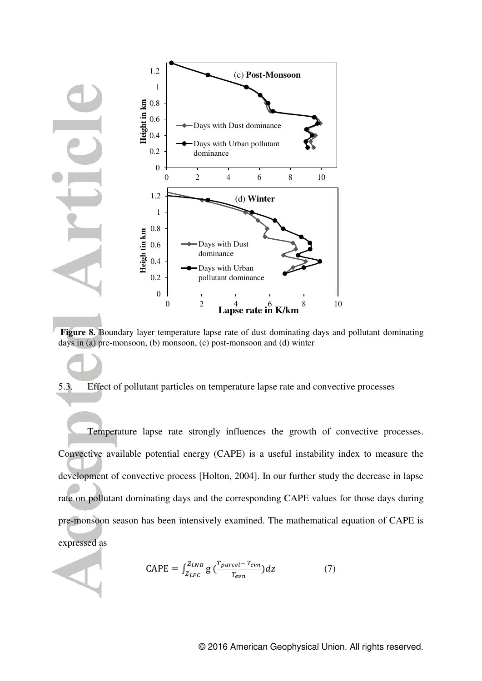

**Figure 8.** Boundary layer temperature lapse rate of dust dominating days and pollutant dominating days in (a) pre-monsoon, (b) monsoon, (c) post-monsoon and (d) winter

## 5.3. Effect of pollutant particles on temperature lapse rate and convective processes

 Temperature lapse rate strongly influences the growth of convective processes. Convective available potential energy (CAPE) is a useful instability index to measure the development of convective process [Holton, 2004]. In our further study the decrease in lapse rate on pollutant dominating days and the corresponding CAPE values for those days during pre-monsoon season has been intensively examined. The mathematical equation of CAPE is expressed as

$$
CAPE = \int_{Z_{LFC}}^{Z_{LNB}} g\left(\frac{T_{parcel} - T_{evn}}{T_{evn}}\right) dz \tag{7}
$$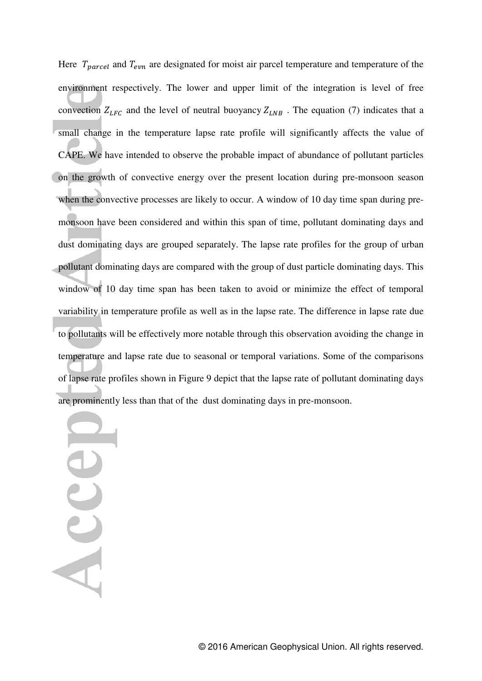Here  $T_{\text{parcel}}$  and  $T_{\text{evn}}$  are designated for moist air parcel temperature and temperature of the environment respectively. The lower and upper limit of the integration is level of free convection  $Z_{LFC}$  and the level of neutral buoyancy  $Z_{LNB}$ . The equation (7) indicates that a small change in the temperature lapse rate profile will significantly affects the value of CAPE. We have intended to observe the probable impact of abundance of pollutant particles on the growth of convective energy over the present location during pre-monsoon season when the convective processes are likely to occur. A window of 10 day time span during premonsoon have been considered and within this span of time, pollutant dominating days and dust dominating days are grouped separately. The lapse rate profiles for the group of urban pollutant dominating days are compared with the group of dust particle dominating days. This window of 10 day time span has been taken to avoid or minimize the effect of temporal variability in temperature profile as well as in the lapse rate. The difference in lapse rate due to pollutants will be effectively more notable through this observation avoiding the change in temperature and lapse rate due to seasonal or temporal variations. Some of the comparisons of lapse rate profiles shown in Figure 9 depict that the lapse rate of pollutant dominating days are prominently less than that of the dust dominating days in pre-monsoon.

Accel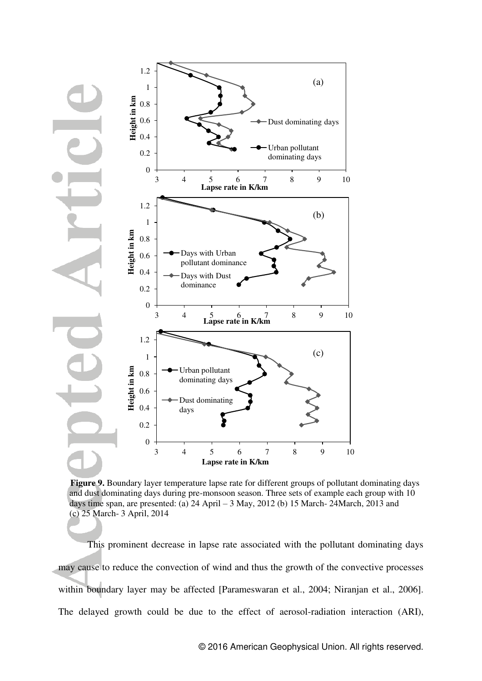

 **Figure 9.** Boundary layer temperature lapse rate for different groups of pollutant dominating days and dust dominating days during pre-monsoon season. Three sets of example each group with 10 days time span, are presented: (a) 24 April – 3 May, 2012 (b) 15 March- 24March, 2013 and (c) 25 March- 3 April, 2014

 This prominent decrease in lapse rate associated with the pollutant dominating days may cause to reduce the convection of wind and thus the growth of the convective processes within boundary layer may be affected [Parameswaran et al., 2004; Niranjan et al., 2006]. The delayed growth could be due to the effect of aerosol-radiation interaction (ARI),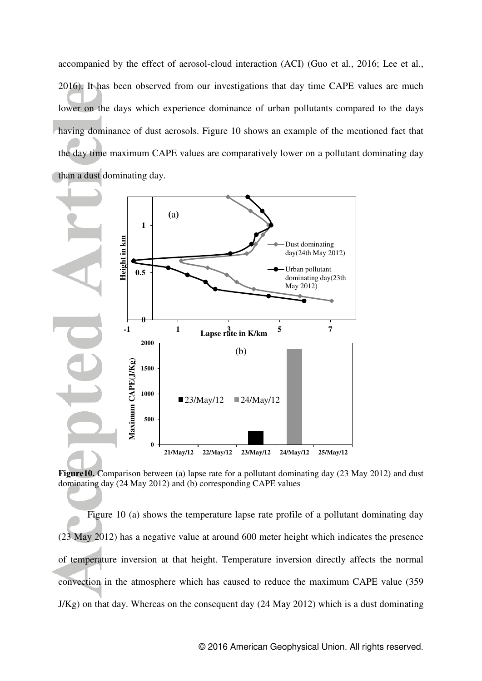accompanied by the effect of aerosol-cloud interaction (ACI) (Guo et al., 2016; Lee et al., 2016). It has been observed from our investigations that day time CAPE values are much lower on the days which experience dominance of urban pollutants compared to the days having dominance of dust aerosols. Figure 10 shows an example of the mentioned fact that the day time maximum CAPE values are comparatively lower on a pollutant dominating day than a dust dominating day.



**Figure10.** Comparison between (a) lapse rate for a pollutant dominating day (23 May 2012) and dust dominating day (24 May 2012) and (b) corresponding CAPE values

 Figure 10 (a) shows the temperature lapse rate profile of a pollutant dominating day (23 May 2012) has a negative value at around 600 meter height which indicates the presence of temperature inversion at that height. Temperature inversion directly affects the normal convection in the atmosphere which has caused to reduce the maximum CAPE value (359 J/Kg) on that day. Whereas on the consequent day (24 May 2012) which is a dust dominating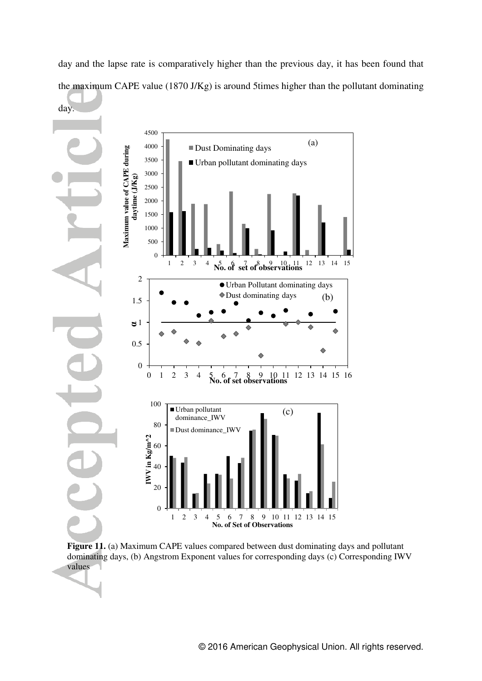day and the lapse rate is comparatively higher than the previous day, it has been found that the maximum CAPE value (1870 J/Kg) is around 5times higher than the pollutant dominating



 **Figure 11.** (a) Maximum CAPE values compared between dust dominating days and pollutant dominating days, (b) Angstrom Exponent values for corresponding days (c) Corresponding IWV values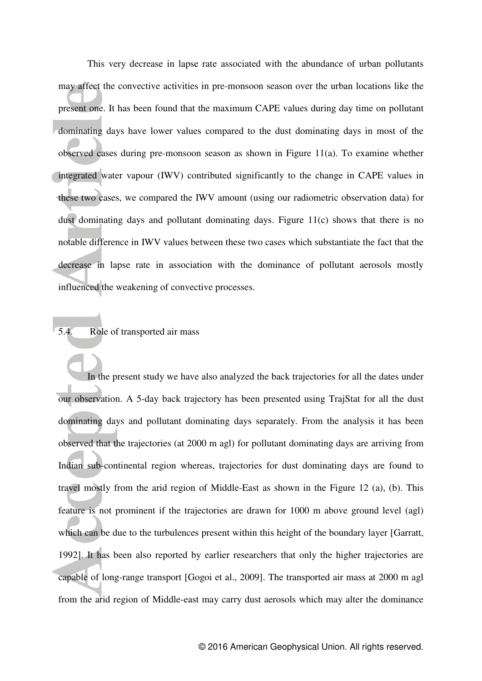This very decrease in lapse rate associated with the abundance of urban pollutants may affect the convective activities in pre-monsoon season over the urban locations like the present one. It has been found that the maximum CAPE values during day time on pollutant dominating days have lower values compared to the dust dominating days in most of the observed cases during pre-monsoon season as shown in Figure 11(a). To examine whether integrated water vapour (IWV) contributed significantly to the change in CAPE values in these two cases, we compared the IWV amount (using our radiometric observation data) for dust dominating days and pollutant dominating days. Figure 11(c) shows that there is no notable difference in IWV values between these two cases which substantiate the fact that the decrease in lapse rate in association with the dominance of pollutant aerosols mostly influenced the weakening of convective processes.

# 5.4. Role of transported air mass

 In the present study we have also analyzed the back trajectories for all the dates under our observation. A 5-day back trajectory has been presented using TrajStat for all the dust dominating days and pollutant dominating days separately. From the analysis it has been observed that the trajectories (at 2000 m agl) for pollutant dominating days are arriving from Indian sub-continental region whereas, trajectories for dust dominating days are found to travel mostly from the arid region of Middle-East as shown in the Figure 12 (a), (b). This feature is not prominent if the trajectories are drawn for 1000 m above ground level (agl) which can be due to the turbulences present within this height of the boundary layer [Garratt, 1992]. It has been also reported by earlier researchers that only the higher trajectories are capable of long-range transport [Gogoi et al., 2009]. The transported air mass at 2000 m agl from the arid region of Middle-east may carry dust aerosols which may alter the dominance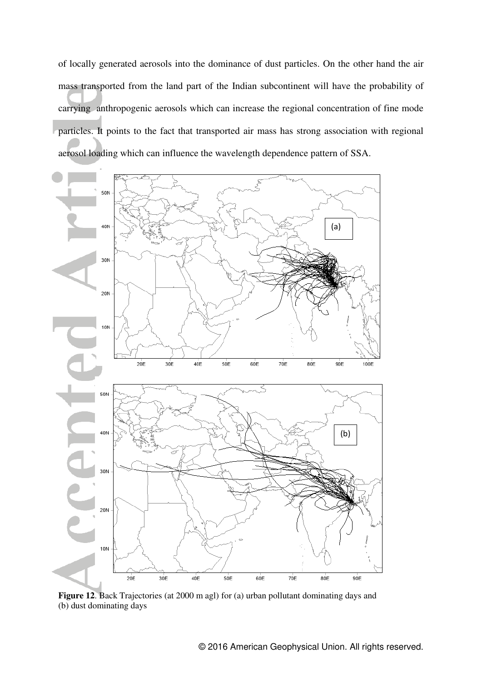of locally generated aerosols into the dominance of dust particles. On the other hand the air mass transported from the land part of the Indian subcontinent will have the probability of carrying anthropogenic aerosols which can increase the regional concentration of fine mode particles. It points to the fact that transported air mass has strong association with regional aerosol loading which can influence the wavelength dependence pattern of SSA.



**Figure 12**. Back Trajectories (at 2000 m agl) for (a) urban pollutant dominating days and (b) dust dominating days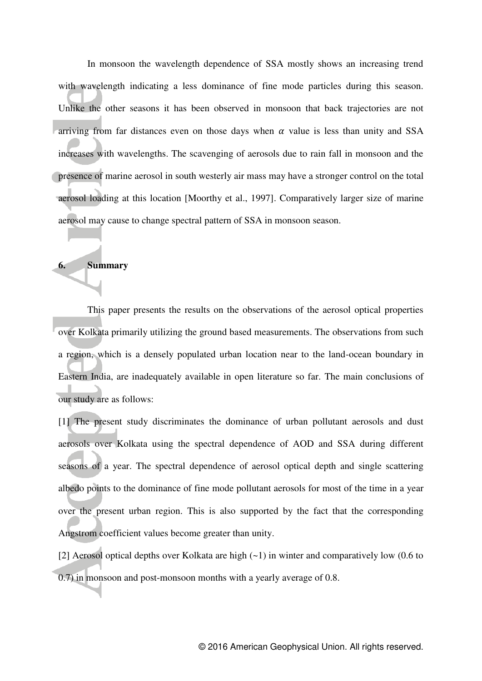In monsoon the wavelength dependence of SSA mostly shows an increasing trend with wavelength indicating a less dominance of fine mode particles during this season. Unlike the other seasons it has been observed in monsoon that back trajectories are not arriving from far distances even on those days when  $\alpha$  value is less than unity and SSA increases with wavelengths. The scavenging of aerosols due to rain fall in monsoon and the presence of marine aerosol in south westerly air mass may have a stronger control on the total aerosol loading at this location [Moorthy et al., 1997]. Comparatively larger size of marine aerosol may cause to change spectral pattern of SSA in monsoon season.

#### **6. Summary**

 This paper presents the results on the observations of the aerosol optical properties over Kolkata primarily utilizing the ground based measurements. The observations from such a region, which is a densely populated urban location near to the land-ocean boundary in Eastern India, are inadequately available in open literature so far. The main conclusions of our study are as follows:

[1] The present study discriminates the dominance of urban pollutant aerosols and dust aerosols over Kolkata using the spectral dependence of AOD and SSA during different seasons of a year. The spectral dependence of aerosol optical depth and single scattering albedo points to the dominance of fine mode pollutant aerosols for most of the time in a year over the present urban region. This is also supported by the fact that the corresponding Angstrom coefficient values become greater than unity.

[2] Aerosol optical depths over Kolkata are high  $(-1)$  in winter and comparatively low  $(0.6 \text{ to } 1)$ 0.7) in monsoon and post-monsoon months with a yearly average of 0.8.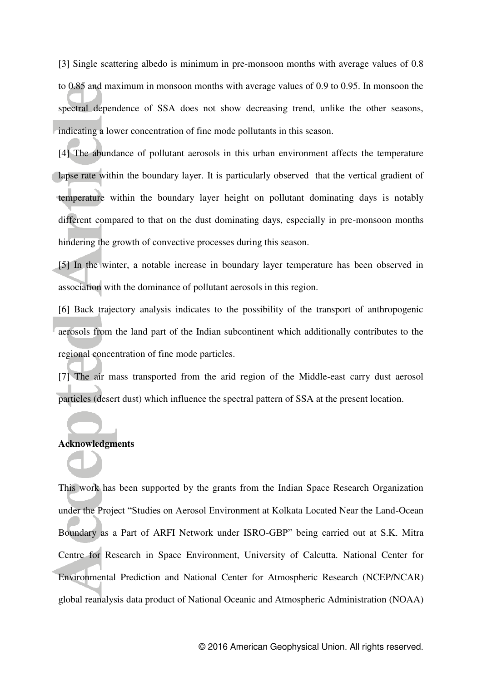[3] Single scattering albedo is minimum in pre-monsoon months with average values of 0.8 to 0.85 and maximum in monsoon months with average values of 0.9 to 0.95. In monsoon the spectral dependence of SSA does not show decreasing trend, unlike the other seasons, indicating a lower concentration of fine mode pollutants in this season.

[4] The abundance of pollutant aerosols in this urban environment affects the temperature lapse rate within the boundary layer. It is particularly observed that the vertical gradient of temperature within the boundary layer height on pollutant dominating days is notably different compared to that on the dust dominating days, especially in pre-monsoon months hindering the growth of convective processes during this season.

[5] In the winter, a notable increase in boundary layer temperature has been observed in association with the dominance of pollutant aerosols in this region.

[6] Back trajectory analysis indicates to the possibility of the transport of anthropogenic aerosols from the land part of the Indian subcontinent which additionally contributes to the regional concentration of fine mode particles.

[7] The air mass transported from the arid region of the Middle-east carry dust aerosol particles (desert dust) which influence the spectral pattern of SSA at the present location.

## **Acknowledgments**

This work has been supported by the grants from the Indian Space Research Organization under the Project "Studies on Aerosol Environment at Kolkata Located Near the Land-Ocean Boundary as a Part of ARFI Network under ISRO-GBP" being carried out at S.K. Mitra Centre for Research in Space Environment, University of Calcutta. National Center for Environmental Prediction and National Center for Atmospheric Research (NCEP/NCAR) global reanalysis data product of National Oceanic and Atmospheric Administration (NOAA)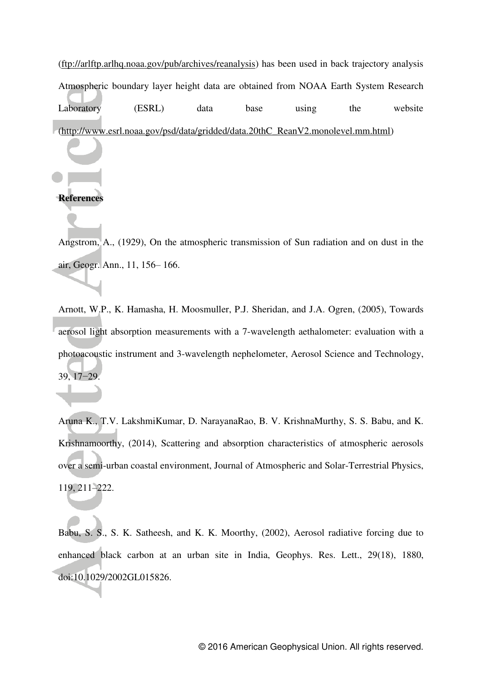[\(ftp://arlftp.arlhq.noaa.gov/pub/archives/reanalysis\)](ftp://arlftp.arlhq.noaa.gov/pub/archives/reanalysis) has been used in back trajectory analysis Atmospheric boundary layer height data are obtained from NOAA Earth System Research Laboratory (ESRL) data base using the website [\(http://www.esrl.noaa.gov/psd/data/gridded/data.20thC\\_ReanV2.monolevel.mm.html\)](http://www.esrl.noaa.gov/psd/data/gridded/data.20thC_ReanV2.monolevel.mm.html)

## **References**

Angstrom, A., (1929), On the atmospheric transmission of Sun radiation and on dust in the air, Geogr. Ann., 11, 156– 166.

Arnott, W.P., K. Hamasha, H. Moosmuller, P.J. Sheridan, and J.A. Ogren, (2005), Towards aerosol light absorption measurements with a 7-wavelength aethalometer: evaluation with a photoacoustic instrument and 3-wavelength nephelometer, Aerosol Science and Technology, 39, 17−29.

Aruna K., T.V. LakshmiKumar, D. NarayanaRao, B. V. KrishnaMurthy, S. S. Babu, and K. Krishnamoorthy, (2014), Scattering and absorption characteristics of atmospheric aerosols over a semi-urban coastal environment, Journal of Atmospheric and Solar-Terrestrial Physics, 119, 211–222.

Babu, S. S., S. K. Satheesh, and K. K. Moorthy, (2002), Aerosol radiative forcing due to enhanced black carbon at an urban site in India, Geophys. Res. Lett., 29(18), 1880, doi:10.1029/2002GL015826.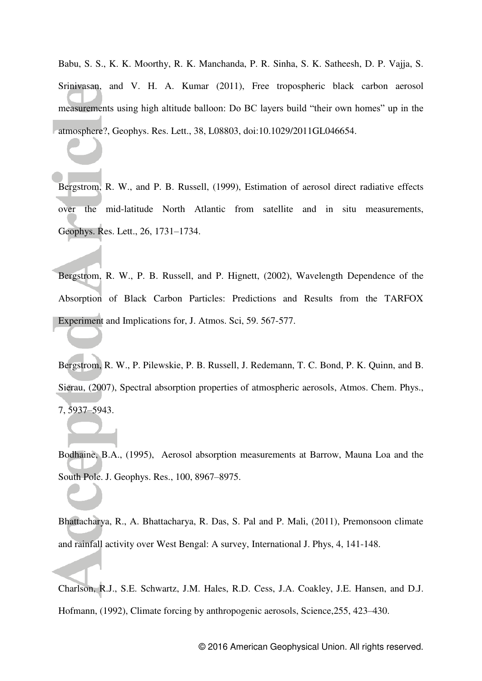Babu, S. S., K. K. Moorthy, R. K. Manchanda, P. R. Sinha, S. K. Satheesh, D. P. Vajja, S. Srinivasan, and V. H. A. Kumar (2011), Free tropospheric black carbon aerosol measurements using high altitude balloon: Do BC layers build "their own homes" up in the atmosphere?, Geophys. Res. Lett., 38, L08803, doi:10.1029/2011GL046654.

Bergstrom, R. W., and P. B. Russell, (1999), Estimation of aerosol direct radiative effects over the mid-latitude North Atlantic from satellite and in situ measurements, Geophys. Res. Lett., 26, 1731–1734.

Bergstrom, R. W., P. B. Russell, and P. Hignett, (2002), Wavelength Dependence of the Absorption of Black Carbon Particles: Predictions and Results from the TARFOX Experiment and Implications for, J. Atmos. Sci, 59. 567-577.

Bergstrom, R. W., P. Pilewskie, P. B. Russell, J. Redemann, T. C. Bond, P. K. Quinn, and B. Sierau, (2007), Spectral absorption properties of atmospheric aerosols, Atmos. Chem. Phys., 7, 5937–5943.

Bodhaine, B.A., (1995), Aerosol absorption measurements at Barrow, Mauna Loa and the South Pole. J. Geophys. Res., 100, 8967–8975.

Bhattacharya, R., A. Bhattacharya, R. Das, S. Pal and P. Mali, (2011), Premonsoon climate and rainfall activity over West Bengal: A survey, International J. Phys, 4, 141-148.

Charlson, R.J., S.E. Schwartz, J.M. Hales, R.D. Cess, J.A. Coakley, J.E. Hansen, and D.J. Hofmann, (1992), Climate forcing by anthropogenic aerosols, Science,255, 423–430.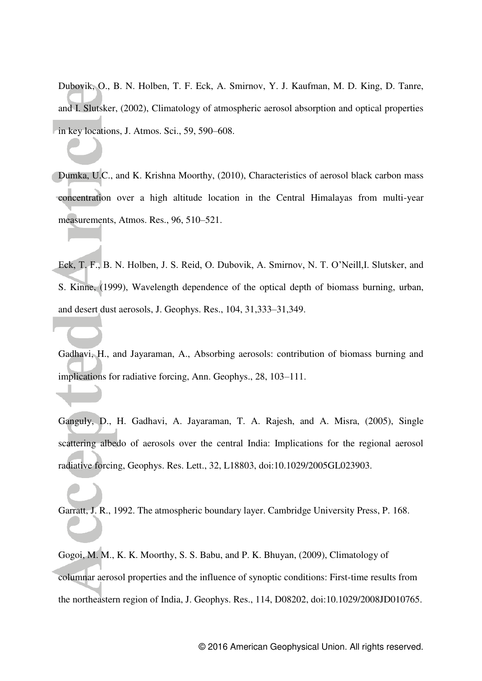Dubovik, O., B. N. Holben, T. F. Eck, A. Smirnov, Y. J. Kaufman, M. D. King, D. Tanre, and I. Slutsker, (2002), Climatology of atmospheric aerosol absorption and optical properties in key locations, J. Atmos. Sci., 59, 590–608.

Dumka, U.C., and K. Krishna Moorthy, (2010), Characteristics of aerosol black carbon mass concentration over a high altitude location in the Central Himalayas from multi-year measurements, Atmos. Res., 96, 510–521.

Eck, T. F., B. N. Holben, J. S. Reid, O. Dubovik, A. Smirnov, N. T. O"Neill,I. Slutsker, and S. Kinne, (1999), Wavelength dependence of the optical depth of biomass burning, urban, and desert dust aerosols, J. Geophys. Res., 104, 31,333–31,349.

Gadhavi, H., and Jayaraman, A., Absorbing aerosols: contribution of biomass burning and implications for radiative forcing, Ann. Geophys., 28, 103–111.

Ganguly, D., H. Gadhavi, A. Jayaraman, T. A. Rajesh, and A. Misra, (2005), Single scattering albedo of aerosols over the central India: Implications for the regional aerosol radiative forcing, Geophys. Res. Lett., 32, L18803, doi:10.1029/2005GL023903.

Garratt, J. R., 1992. The atmospheric boundary layer. Cambridge University Press, P. 168.

Gogoi, M. M., K. K. Moorthy, S. S. Babu, and P. K. Bhuyan, (2009), Climatology of columnar aerosol properties and the influence of synoptic conditions: First-time results from the northeastern region of India, J. Geophys. Res., 114, D08202, doi:10.1029/2008JD010765.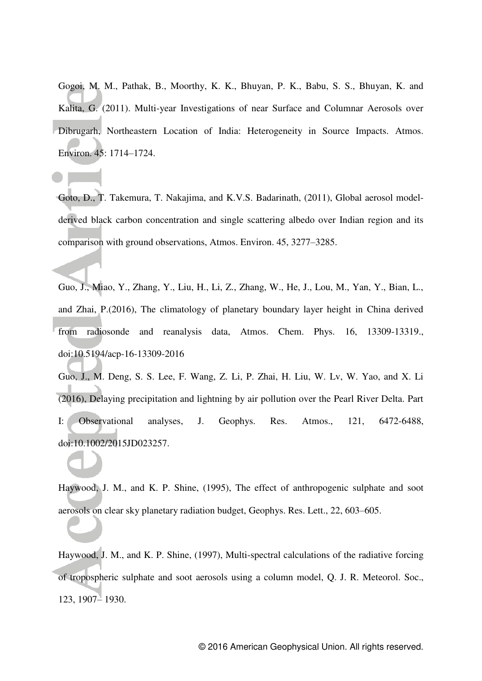Gogoi, M. M., Pathak, B., Moorthy, K. K., Bhuyan, P. K., Babu, S. S., Bhuyan, K. and Kalita, G. (2011). Multi-year Investigations of near Surface and Columnar Aerosols over Dibrugarh, Northeastern Location of India: Heterogeneity in Source Impacts. Atmos. Environ. 45: 1714–1724.

Goto, D., T. Takemura, T. Nakajima, and K.V.S. Badarinath, (2011), Global aerosol modelderived black carbon concentration and single scattering albedo over Indian region and its comparison with ground observations, Atmos. Environ. 45, 3277–3285.

Guo, J., Miao, Y., Zhang, Y., Liu, H., Li, Z., Zhang, W., He, J., Lou, M., Yan, Y., Bian, L., and Zhai, P.(2016), The climatology of planetary boundary layer height in China derived from radiosonde and reanalysis data, Atmos. Chem. Phys. 16, 13309-13319., doi:10.5194/acp-16-13309-2016

Guo, J., M. Deng, S. S. Lee, F. Wang, Z. Li, P. Zhai, H. Liu, W. Lv, W. Yao, and X. Li (2016), Delaying precipitation and lightning by air pollution over the Pearl River Delta. Part I: Observational analyses, J. Geophys. Res. Atmos., 121, 6472-6488, doi:10.1002/2015JD023257.

Haywood, J. M., and K. P. Shine, (1995), The effect of anthropogenic sulphate and soot aerosols on clear sky planetary radiation budget, Geophys. Res. Lett., 22, 603–605.

Haywood, J. M., and K. P. Shine, (1997), Multi-spectral calculations of the radiative forcing of tropospheric sulphate and soot aerosols using a column model, Q. J. R. Meteorol. Soc., 123, 1907– 1930.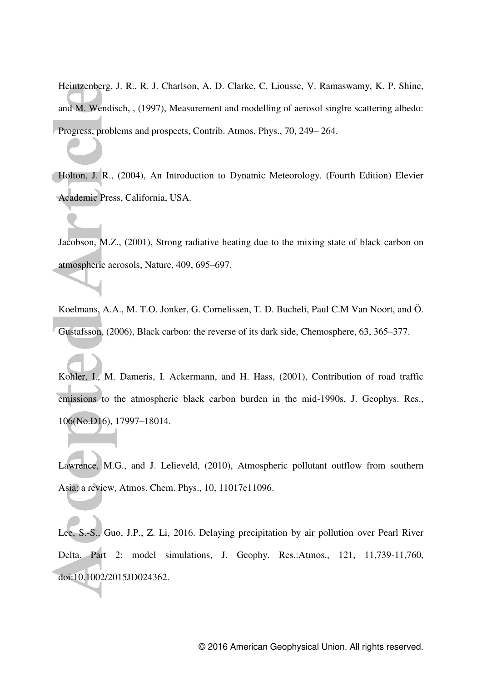Heintzenberg, J. R., R. J. Charlson, A. D. Clarke, C. Liousse, V. Ramaswamy, K. P. Shine, and M. Wendisch, , (1997), Measurement and modelling of aerosol singlre scattering albedo: Progress, problems and prospects, Contrib. Atmos, Phys., 70, 249– 264.

Holton, J. R., (2004), An Introduction to Dynamic Meteorology. (Fourth Edition) Elevier Academic Press, California, USA.

Jacobson, M.Z., (2001), Strong radiative heating due to the mixing state of black carbon on atmospheric aerosols, Nature, 409, 695–697.

Koelmans, A.A., M. T.O. Jonker, G. Cornelissen, T. D. Bucheli, Paul C.M Van Noort, and Ö. Gustafsson, (2006), Black carbon: the reverse of its dark side, Chemosphere, 63, 365–377.

Kohler, I., M. Dameris, I. Ackermann, and H. Hass, (2001), Contribution of road traffic emissions to the atmospheric black carbon burden in the mid-1990s, J. Geophys. Res., 106(No.D16), 17997–18014.

Lawrence, M.G., and J. Lelieveld, (2010), Atmospheric pollutant outflow from southern Asia: a review, Atmos. Chem. Phys., 10, 11017e11096.

Lee, S.-S., Guo, J.P., Z. Li, 2016. Delaying precipitation by air pollution over Pearl River Delta. Part 2: model simulations, J. Geophy. Res.:Atmos., 121, 11,739-11,760, doi:10.1002/2015JD024362.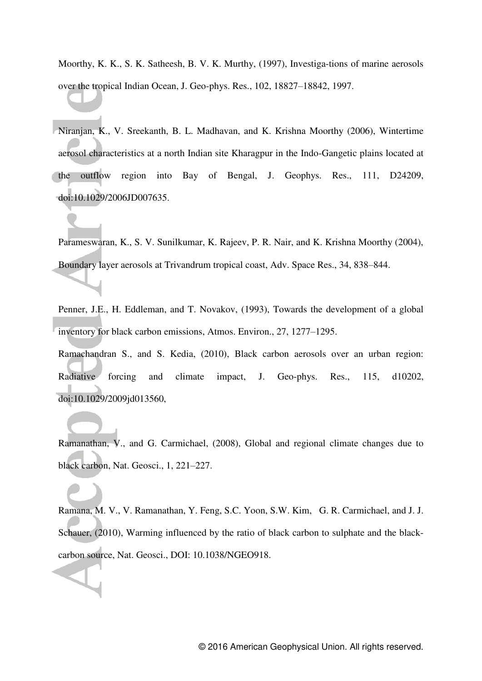Moorthy, K. K., S. K. Satheesh, B. V. K. Murthy, (1997), Investiga-tions of marine aerosols over the tropical Indian Ocean, J. Geo-phys. Res., 102, 18827–18842, 1997.

Niranjan, K., V. Sreekanth, B. L. Madhavan, and K. Krishna Moorthy (2006), Wintertime aerosol characteristics at a north Indian site Kharagpur in the Indo-Gangetic plains located at the outflow region into Bay of Bengal, J. Geophys. Res., 111, D24209, doi:10.1029/2006JD007635.

Parameswaran, K., S. V. Sunilkumar, K. Rajeev, P. R. Nair, and K. Krishna Moorthy (2004), Boundary layer aerosols at Trivandrum tropical coast, Adv. Space Res., 34, 838–844.

Penner, J.E., H. Eddleman, and T. Novakov, (1993), Towards the development of a global inventory for black carbon emissions, Atmos. Environ., 27, 1277–1295.

Ramachandran S., and S. Kedia, (2010), Black carbon aerosols over an urban region: Radiative forcing and climate impact, J. Geo-phys. Res., 115, d10202, doi:10.1029/2009jd013560,

Ramanathan, V., and G. Carmichael, (2008), Global and regional climate changes due to black carbon, Nat. Geosci., 1, 221–227.

Ramana, M. V., V. Ramanathan, Y. Feng, S.C. Yoon, S.W. Kim, G. R. Carmichael, and J. J. Schauer, (2010), Warming influenced by the ratio of black carbon to sulphate and the blackcarbon source, Nat. Geosci., DOI: 10.1038/NGEO918.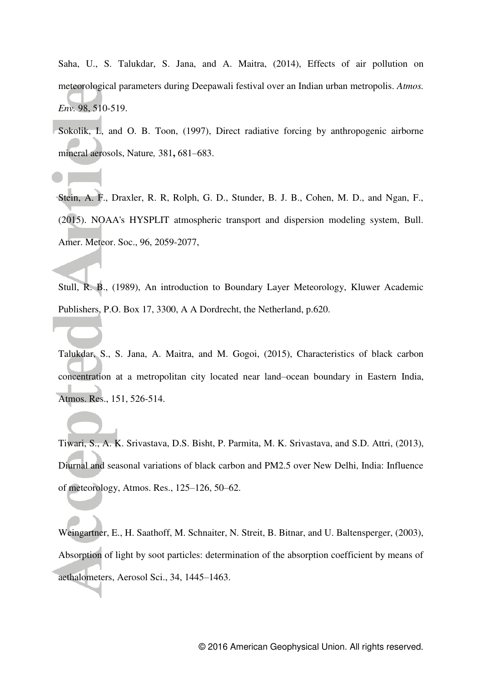Saha, U., S. Talukdar, S. Jana, and A. Maitra, (2014), Effects of air pollution on meteorological parameters during Deepawali festival over an Indian urban metropolis. *Atmos. Env.* 98, 510-519.

Sokolik, I., and O. B. Toon, (1997), Direct radiative forcing by anthropogenic airborne mineral aerosols, Nature*,* 381**,** 681–683.

Stein, A. F., Draxler, R. R, Rolph, G. D., Stunder, B. J. B., Cohen, M. D., and Ngan, F., (2015). NOAA's HYSPLIT atmospheric transport and dispersion modeling system, Bull. Amer. Meteor. Soc., 96, 2059-2077,

Stull, R. B., (1989), An introduction to Boundary Layer Meteorology, Kluwer Academic Publishers, P.O. Box 17, 3300, A A Dordrecht, the Netherland, p.620.

Talukdar, S., S. Jana, A. Maitra, and M. Gogoi, (2015), Characteristics of black carbon concentration at a metropolitan city located near land–ocean boundary in Eastern India, Atmos. Res., 151, 526-514.

Tiwari, S., A. K. Srivastava, D.S. Bisht, P. Parmita, M. K. Srivastava, and S.D. Attri, (2013), Diurnal and seasonal variations of black carbon and PM2.5 over New Delhi, India: Influence of meteorology, Atmos. Res., 125–126, 50–62.

Weingartner, E., H. Saathoff, M. Schnaiter, N. Streit, B. Bitnar, and U. Baltensperger, (2003), Absorption of light by soot particles: determination of the absorption coefficient by means of aethalometers, Aerosol Sci., 34, 1445–1463.